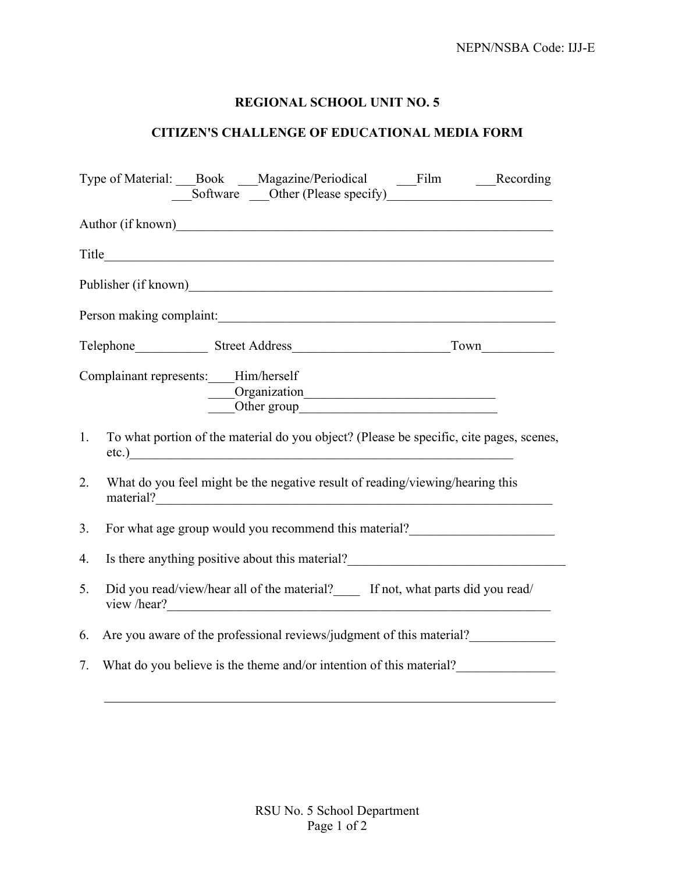## **REGIONAL SCHOOL UNIT NO. 5**

## **CITIZEN'S CHALLENGE OF EDUCATIONAL MEDIA FORM**

|                          | Type of Material: Book __Magazine/Periodical __Film ___Recording                                             |
|--------------------------|--------------------------------------------------------------------------------------------------------------|
|                          |                                                                                                              |
|                          |                                                                                                              |
|                          |                                                                                                              |
| Person making complaint: |                                                                                                              |
|                          |                                                                                                              |
|                          | Complainant represents: Him/herself<br>Organization<br>Other group                                           |
| 1.                       | To what portion of the material do you object? (Please be specific, cite pages, scenes,<br>etc.)             |
| 2.                       | What do you feel might be the negative result of reading/viewing/hearing this                                |
| 3 <sub>1</sub>           | For what age group would you recommend this material?                                                        |
| 4.                       | Is there anything positive about this material?<br><u>Letting</u> the anything positive about this material? |
| 5.                       | Did you read/view/hear all of the material?_____ If not, what parts did you read/<br>view /hear?             |
| 6.                       | Are you aware of the professional reviews/judgment of this material?                                         |
| 7.                       | What do you believe is the theme and/or intention of this material?                                          |